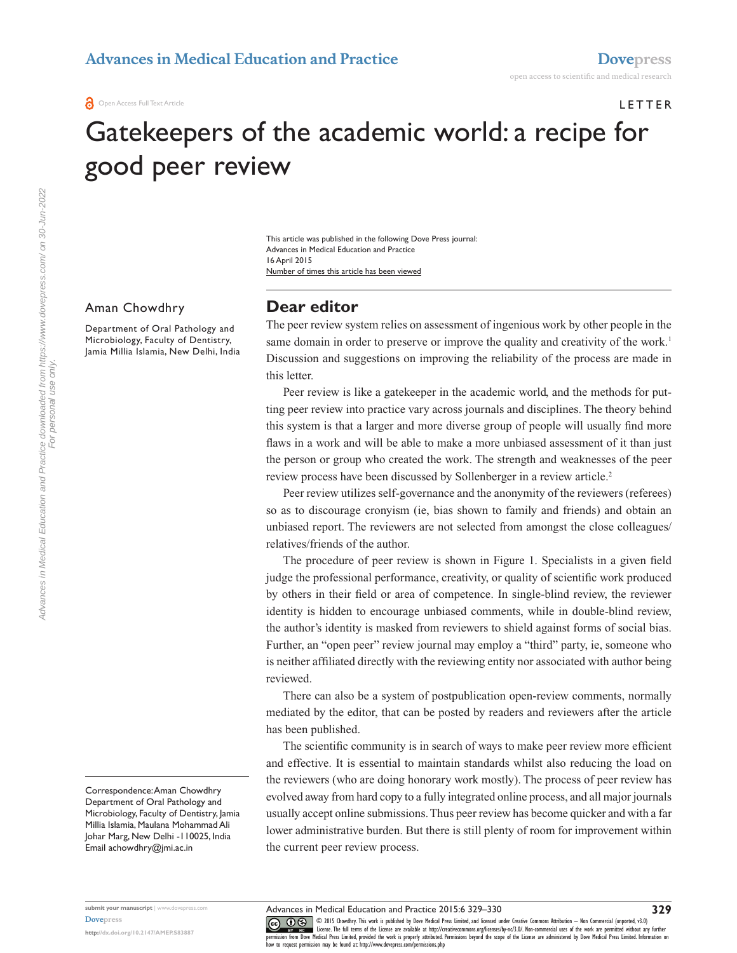# **LETTER**

# Gatekeepers of the academic world: a recipe for good peer review

Number of times this article has been viewed This article was published in the following Dove Press journal: Advances in Medical Education and Practice 16 April 2015

#### Aman Chowdhry

Department of Oral Pathology and Microbiology, Faculty of Dentistry, Jamia Millia Islamia, New Delhi, India **Dear editor**

The peer review system relies on assessment of ingenious work by other people in the same domain in order to preserve or improve the quality and creativity of the work.<sup>1</sup> Discussion and suggestions on improving the reliability of the process are made in this letter.

Peer review is like a gatekeeper in the academic world, and the methods for putting peer review into practice vary across journals and disciplines. The theory behind this system is that a larger and more diverse group of people will usually find more flaws in a work and will be able to make a more unbiased assessment of it than just the person or group who created the work. The strength and weaknesses of the peer review process have been discussed by Sollenberger in a review article.<sup>2</sup>

Peer review utilizes self-governance and the anonymity of the reviewers (referees) so as to discourage cronyism (ie, bias shown to family and friends) and obtain an unbiased report. The reviewers are not selected from amongst the close colleagues/ relatives/friends of the author.

The procedure of peer review is shown in Figure 1. Specialists in a given field judge the professional performance, creativity, or quality of scientific work produced by others in their field or area of competence. In single-blind review, the reviewer identity is hidden to encourage unbiased comments, while in double-blind review, the author's identity is masked from reviewers to shield against forms of social bias. Further, an "open peer" review journal may employ a "third" party, ie, someone who is neither affiliated directly with the reviewing entity nor associated with author being reviewed.

There can also be a system of postpublication open-review comments, normally mediated by the editor, that can be posted by readers and reviewers after the article has been published.

The scientific community is in search of ways to make peer review more efficient and effective. It is essential to maintain standards whilst also reducing the load on the reviewers (who are doing honorary work mostly). The process of peer review has evolved away from hard copy to a fully integrated online process, and all major journals usually accept online submissions. Thus peer review has become quicker and with a far lower administrative burden. But there is still plenty of room for improvement within the current peer review process.

CO ODIS Chowdhry. This work is published by Dove Medical Press Limited, and licensed under Creative Commons Attribution - Non Commercial (unported, v3.0)<br> [permission from Dove M](http://www.dovepress.com/permissions.php)edical Press Limited, provided the work is pr

Correspondence: Aman Chowdhry Department of Oral Pathology and Microbiology, Faculty of Dentistry, Jamia Millia Islamia, Maulana Mohammad Ali Johar Marg, New Delhi -110025, India Email [achowdhry@jmi.ac.in](mailto:achowdhry@jmi.ac.in)

Advances in Medical Education and Practice 2015:6 329–330

how to request permission may be found at:<http://www.dovepress.com/permissions.php>

**submit your manuscript** | <www.dovepress.com> **[Dovepress](www.dovepress.com)**

**<http://dx.doi.org/10.2147/AMEP.S83887>**